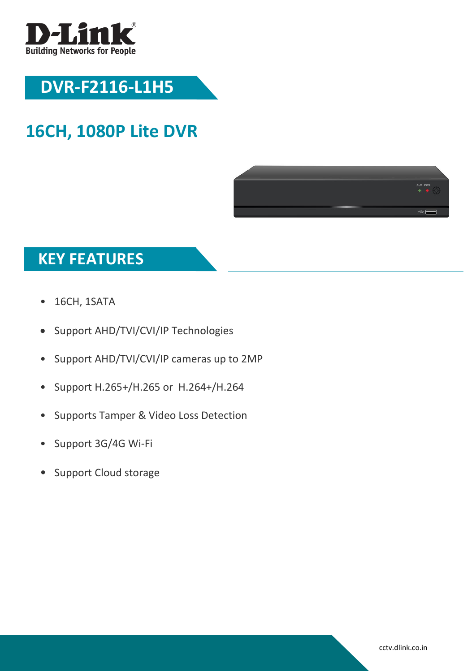

# **DVR-F2116-L1H5**

### **16CH, 1080P Lite DVR**



### **KEY FEATURES**

- 16CH, 1SATA
- Support AHD/TVI/CVI/IP Technologies
- Support AHD/TVI/CVI/IP cameras up to 2MP
- Support H.265+/H.265 or H.264+/H.264
- Supports Tamper & Video Loss Detection
- Support 3G/4G Wi-Fi
- Support Cloud storage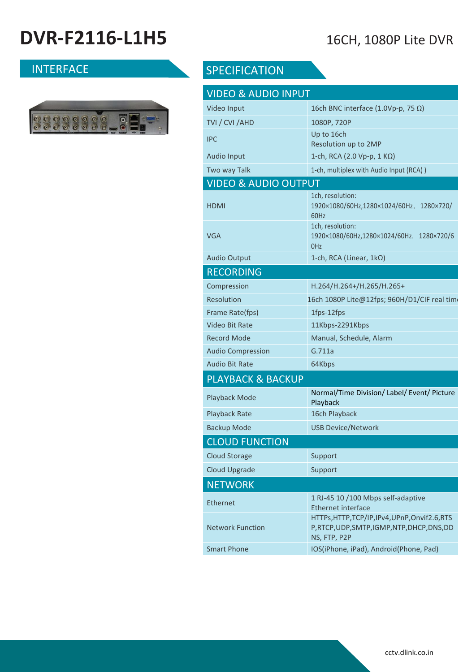# **DVR-F2116-L1H5** 16CH, 1080P Lite DVR



### INTERFACE SPECIFICATION

| <b>VIDEO &amp; AUDIO INPUT</b>  |                                                                                                        |  |
|---------------------------------|--------------------------------------------------------------------------------------------------------|--|
| Video Input                     | 16ch BNC interface (1.0Vp-p, 75 $\Omega$ )                                                             |  |
| TVI / CVI /AHD                  | 1080P, 720P                                                                                            |  |
| <b>IPC</b>                      | Up to 16ch<br>Resolution up to 2MP                                                                     |  |
| <b>Audio Input</b>              | 1-ch, RCA (2.0 Vp-p, 1 KΩ)                                                                             |  |
| Two way Talk                    | 1-ch, multiplex with Audio Input (RCA))                                                                |  |
| <b>VIDEO &amp; AUDIO OUTPUT</b> |                                                                                                        |  |
| HDMI                            | 1ch, resolution:<br>1920×1080/60Hz,1280×1024/60Hz, 1280×720/<br>60Hz                                   |  |
| VGA                             | 1ch, resolution:<br>1920×1080/60Hz,1280×1024/60Hz, 1280×720/6<br>0 <sub>Hz</sub>                       |  |
| <b>Audio Output</b>             | 1-ch, RCA (Linear, $1k\Omega$ )                                                                        |  |
| <b>RECORDING</b>                |                                                                                                        |  |
| Compression                     | H.264/H.264+/H.265/H.265+                                                                              |  |
| <b>Resolution</b>               | 16ch 1080P Lite@12fps; 960H/D1/CIF real time                                                           |  |
| Frame Rate(fps)                 | 1fps-12fps                                                                                             |  |
| <b>Video Bit Rate</b>           | 11Kbps-2291Kbps                                                                                        |  |
| Record Mode                     | Manual, Schedule, Alarm                                                                                |  |
| <b>Audio Compression</b>        | G.711a                                                                                                 |  |
| Audio Bit Rate                  | 64Kbps                                                                                                 |  |
| <b>PLAYBACK &amp; BACKUP</b>    |                                                                                                        |  |
| Playback Mode                   | Normal/Time Division/ Label/ Event/ Picture<br>Playback                                                |  |
| <b>Playback Rate</b>            | 16ch Playback                                                                                          |  |
| <b>Backup Mode</b>              | <b>USB Device/Network</b>                                                                              |  |
| <b>CLOUD FUNCTION</b>           |                                                                                                        |  |
| <b>Cloud Storage</b>            | Support                                                                                                |  |
| <b>Cloud Upgrade</b>            | Support                                                                                                |  |
| <b>NETWORK</b>                  |                                                                                                        |  |
| <b>Ethernet</b>                 | 1 RJ-45 10 /100 Mbps self-adaptive<br><b>Ethernet interface</b>                                        |  |
| <b>Network Function</b>         | HTTPs, HTTP, TCP/IP, IPv4, UPnP, Onvif2.6, RTS<br>P,RTCP,UDP,SMTP,IGMP,NTP,DHCP,DNS,DD<br>NS, FTP, P2P |  |
| <b>Smart Phone</b>              | IOS(iPhone, iPad), Android(Phone, Pad)                                                                 |  |